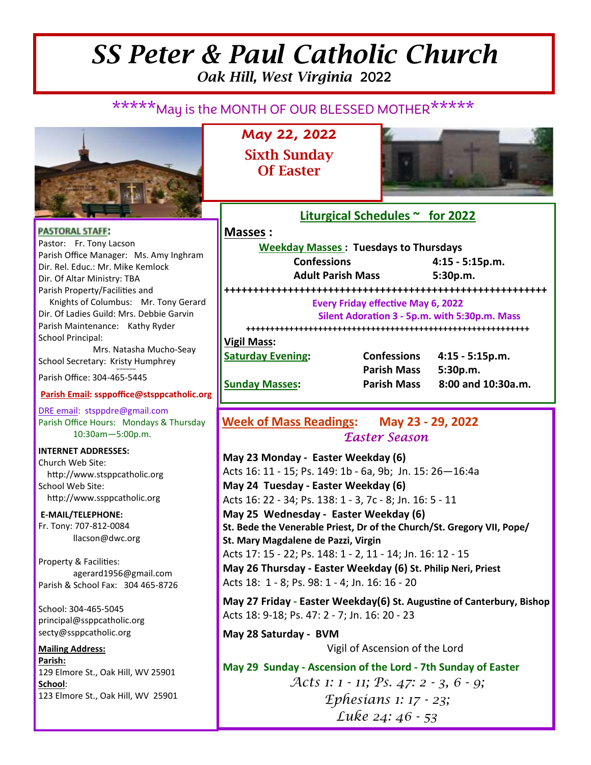## *SS Peter & Paul Catholic Church Oak Hill, West Virginia* 2022

## \*\*\*\*\*May is the MONTH OF OUR BLESSED MOTHER\*\*\*\*\*



**May 22, 2022 Sixth Sunday Of Easter** 



# **Liturgical Schedules ~ for 2022**

**PASTORAL STAFF:** Pastor: Fr. Tony Lacson Parish Office Manager: Ms. Amy Inghram Dir. Rel. Educ.: Mr. Mike Kemlock Dir. Of Altar Ministry: TBA Parish Property/Facilities and Knights of Columbus: Mr. Tony Gerard Dir. Of Ladies Guild: Mrs. Debbie Garvin Parish Maintenance: Kathy Ryder School Principal: Mrs. Natasha Mucho-Seay

School Secretary: Kristy Humphrey ∞∞∞∞∞∞

Parish Office: 304-465-5445

### **Parish Email: ssppoffice@stsppcatholic.org**

DRE email: stsppdre@gmail.com Parish Office Hours: Mondays & Thursday 10:30am—5:00p.m.

**INTERNET ADDRESSES:**  Church Web Site: http://www.stsppcatholic.org School Web Site: http://www.ssppcatholic.org

**E-MAIL/TELEPHONE:**  Fr. Tony: 707-812-0084 llacson@dwc.org

Property & Facilities: agerard1956@gmail.com Parish & School Fax: 304 465-8726

School: 304-465-5045 principal@ssppcatholic.org secty@ssppcatholic.org

**Mailing Address: Parish:**  129 Elmore St., Oak Hill, WV 25901 **School**: 123 Elmore St., Oak Hill, WV 25901 **Masses : Weekday Masses : Tuesdays to Thursdays Confessions 4:15 - 5:15p.m. Adult Parish Mass 5:30p.m. ++++++++++++++++++++++++++++++++++++++++++++++++++++++++ Every Friday effective May 6, 2022** Silent Adoration 3 - 5p.m. with 5:30p.m. Mass **+++++++++++++++++++++++++++++++++++++++++++++++++++++++++++ Vigil Mass: Saturday Evening: Confessions 4:15 - 5:15p.m.** 

 **Parish Mass 5:30p.m. Sunday Masses: Parish Mass 8:00 and 10:30a.m.** 

### **Week of Mass Readings: May 23 - 29, 2022**  Easter Season

**May 23 Monday - Easter Weekday (6)**  Acts 16: 11 - 15; Ps. 149: 1b - 6a, 9b; Jn. 15: 26—16:4a **May 24 Tuesday - Easter Weekday (6)**  Acts 16: 22 - 34; Ps. 138: 1 - 3, 7c - 8; Jn. 16: 5 - 11 **May 25 Wednesday - Easter Weekday (6) St. Bede the Venerable Priest, Dr of the Church/St. Gregory VII, Pope/ St. Mary Magdalene de Pazzi, Virgin**  Acts 17: 15 - 22; Ps. 148: 1 - 2, 11 - 14; Jn. 16: 12 - 15 **May 26 Thursday - Easter Weekday (6) St. Philip Neri, Priest** Acts 18: 1 - 8; Ps. 98: 1 - 4; Jn. 16: 16 - 20

**May 27 Friday - Easter Weekday(6) St. Augus7ne of Canterbury, Bishop** Acts 18: 9-18; Ps. 47: 2 - 7; Jn. 16: 20 - 23

**May 28 Saturday - BVM** 

Vigil of Ascension of the Lord

**May 29 Sunday - Ascension of the Lord - 7th Sunday of Easter** 

Acts 1: 1 - 11; Ps. 47: 2 - 3, 6 - 9; Ephesians 1: 17 - 23; Luke 24: 46 - 53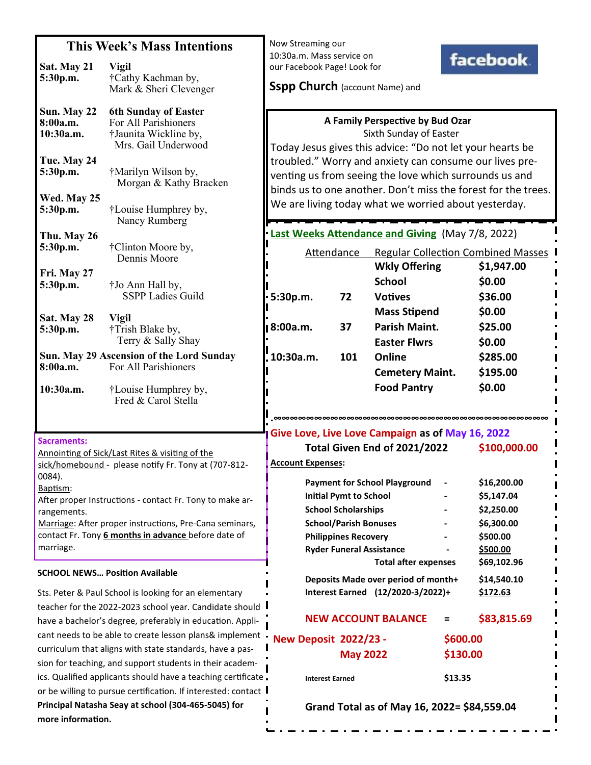| Sat. May 21<br>5:30p.m.                                                                                                                                                                                                                                                                                                                                | This Week's Mass Intentions<br><b>Vigil</b><br>†Cathy Kachman by,<br>Mark & Sheri Clevenger                                                                                                                                                                                                                                                                                                                                                                                                                                                                            | Now Streaming our<br>10:30a.m. Mass service on<br>facebook.<br>our Facebook Page! Look for<br><b>Sspp Church</b> (account Name) and |                                                                                                                                                               |                                                                                                                                                         |               |                                                                                                              |
|--------------------------------------------------------------------------------------------------------------------------------------------------------------------------------------------------------------------------------------------------------------------------------------------------------------------------------------------------------|------------------------------------------------------------------------------------------------------------------------------------------------------------------------------------------------------------------------------------------------------------------------------------------------------------------------------------------------------------------------------------------------------------------------------------------------------------------------------------------------------------------------------------------------------------------------|-------------------------------------------------------------------------------------------------------------------------------------|---------------------------------------------------------------------------------------------------------------------------------------------------------------|---------------------------------------------------------------------------------------------------------------------------------------------------------|---------------|--------------------------------------------------------------------------------------------------------------|
| Sun. May 22<br>8:00a.m.<br>10:30a.m.<br>Tue. May 24<br>5:30p.m.<br>Wed. May 25<br>5:30p.m.                                                                                                                                                                                                                                                             | <b>6th Sunday of Easter</b><br>A Family Perspective by Bud Ozar<br>For All Parishioners<br>†Jaunita Wickline by,<br>Sixth Sunday of Easter<br>Mrs. Gail Underwood<br>Today Jesus gives this advice: "Do not let your hearts be<br>troubled." Worry and anxiety can consume our lives pre-<br>†Marilyn Wilson by,<br>venting us from seeing the love which surrounds us and<br>Morgan & Kathy Bracken<br>binds us to one another. Don't miss the forest for the trees.<br>We are living today what we worried about yesterday.<br>†Louise Humphrey by,<br>Nancy Rumberg |                                                                                                                                     |                                                                                                                                                               |                                                                                                                                                         |               |                                                                                                              |
| Thu. May 26<br>5:30p.m.<br>Fri. May 27<br>5:30p.m.                                                                                                                                                                                                                                                                                                     | †Clinton Moore by,<br>Dennis Moore<br>†Jo Ann Hall by,                                                                                                                                                                                                                                                                                                                                                                                                                                                                                                                 | Attendance                                                                                                                          |                                                                                                                                                               | Last Weeks Attendance and Giving (May 7/8, 2022)<br><b>Wkly Offering</b><br><b>School</b>                                                               |               | <b>Regular Collection Combined Masses</b><br>\$1,947.00<br>\$0.00                                            |
| Sat. May 28<br>5:30p.m.                                                                                                                                                                                                                                                                                                                                | <b>SSPP Ladies Guild</b><br><b>Vigil</b><br>†Trish Blake by,<br>Terry & Sally Shay                                                                                                                                                                                                                                                                                                                                                                                                                                                                                     | 5:30p.m.<br>8:00a.m.                                                                                                                | 72<br>37                                                                                                                                                      | <b>Votives</b><br><b>Mass Stipend</b><br>Parish Maint.<br><b>Easter Flwrs</b>                                                                           |               | \$36.00<br>\$0.00<br>\$25.00<br>\$0.00                                                                       |
| 8:00a.m.<br>10:30a.m.                                                                                                                                                                                                                                                                                                                                  | Sun. May 29 Ascension of the Lord Sunday<br>For All Parishioners<br>†Louise Humphrey by,<br>Fred & Carol Stella                                                                                                                                                                                                                                                                                                                                                                                                                                                        | 10:30a.m.                                                                                                                           | 101                                                                                                                                                           | Online<br><b>Cemetery Maint.</b><br><b>Food Pantry</b>                                                                                                  |               | \$285.00<br>\$195.00<br>\$0.00                                                                               |
| Sacraments:<br>Annointing of Sick/Last Rites & visiting of the<br>sick/homebound - please notify Fr. Tony at (707-812-<br>0084).<br>Baptism:<br>After proper Instructions - contact Fr. Tony to make ar-<br>rangements.<br>Marriage: After proper instructions, Pre-Cana seminars,<br>contact Fr. Tony 6 months in advance before date of<br>marriage. |                                                                                                                                                                                                                                                                                                                                                                                                                                                                                                                                                                        | <b>Account Expenses:</b>                                                                                                            | <b>Initial Pymt to School</b><br><b>School Scholarships</b><br><b>School/Parish Bonuses</b><br><b>Philippines Recovery</b><br><b>Ryder Funeral Assistance</b> | Give Love, Live Love Campaign as of May 16, 2022<br>Total Given End of 2021/2022<br><b>Payment for School Playground</b><br><b>Total after expenses</b> |               | \$100,000.00<br>\$16,200.00<br>\$5,147.04<br>\$2,250.00<br>\$6,300.00<br>\$500.00<br>\$500.00<br>\$69,102.96 |
| <b>SCHOOL NEWS Position Available</b><br>Sts. Peter & Paul School is looking for an elementary<br>teacher for the 2022-2023 school year. Candidate should<br>have a bachelor's degree, preferably in education. Appli-<br>cant needs to be able to create lesson plans& implement -                                                                    |                                                                                                                                                                                                                                                                                                                                                                                                                                                                                                                                                                        | <b>New Deposit 2022/23 -</b>                                                                                                        |                                                                                                                                                               | Deposits Made over period of month+<br>Interest Earned (12/2020-3/2022)+<br><b>NEW ACCOUNT BALANCE</b>                                                  | Ξ<br>\$600.00 | \$14,540.10<br>\$172.63<br>\$83,815.69                                                                       |
| curriculum that aligns with state standards, have a pas-<br>sion for teaching, and support students in their academ-<br>ics. Qualified applicants should have a teaching certificate.<br>or be willing to pursue certification. If interested: contact I                                                                                               |                                                                                                                                                                                                                                                                                                                                                                                                                                                                                                                                                                        | <b>May 2022</b><br><b>Interest Earned</b>                                                                                           |                                                                                                                                                               | \$130.00<br>\$13.35                                                                                                                                     |               |                                                                                                              |
| Principal Natasha Seay at school (304-465-5045) for<br>more information.                                                                                                                                                                                                                                                                               |                                                                                                                                                                                                                                                                                                                                                                                                                                                                                                                                                                        |                                                                                                                                     |                                                                                                                                                               | Grand Total as of May 16, 2022= \$84,559.04                                                                                                             |               |                                                                                                              |

 $\sim$   $\sim$   $\sim$ 

 $\mathbf{r}$ 

. . . . . . <u>.</u>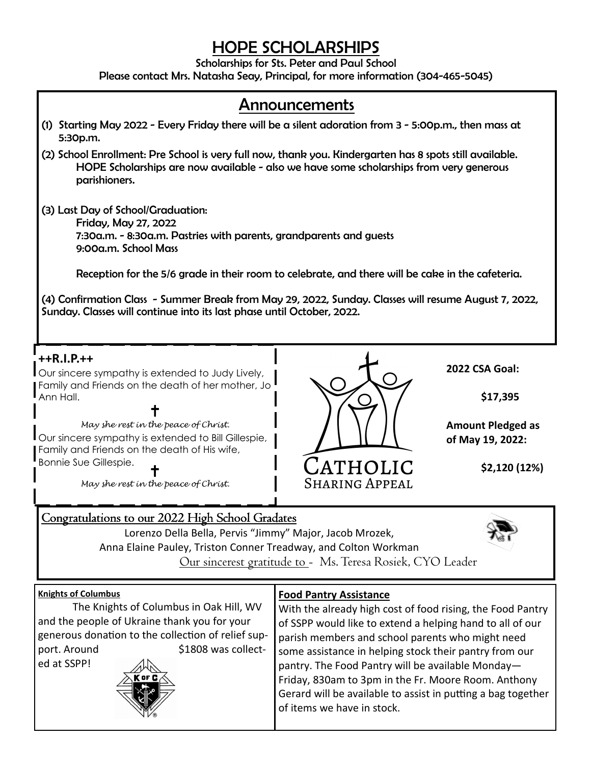# *HOPE SCHOLARSHIPS*

*Scholarships for Sts. Peter and Paul School Please contact Mrs. Natasha Seay, Principal, for more information (304-465-5045)* 

| <b>Announcements</b>                                                                                                                                                                                                                                 |                                                                                                                                                                                                                                                                                                                                                                                                                   |                                              |  |  |  |  |  |
|------------------------------------------------------------------------------------------------------------------------------------------------------------------------------------------------------------------------------------------------------|-------------------------------------------------------------------------------------------------------------------------------------------------------------------------------------------------------------------------------------------------------------------------------------------------------------------------------------------------------------------------------------------------------------------|----------------------------------------------|--|--|--|--|--|
| (1) Starting May 2022 - Every Friday there will be a silent adoration from 3 - 5:00p.m., then mass at<br>5:30p.m.                                                                                                                                    |                                                                                                                                                                                                                                                                                                                                                                                                                   |                                              |  |  |  |  |  |
| (2) School Enrollment: Pre School is very full now, thank you. Kindergarten has 8 spots still available.<br>HOPE Scholarships are now available - also we have some scholarships from very generous<br>parishioners.                                 |                                                                                                                                                                                                                                                                                                                                                                                                                   |                                              |  |  |  |  |  |
| (3) Last Day of School/Graduation:<br>Friday, May 27, 2022<br>7:30a.m. - 8:30a.m. Pastries with parents, grandparents and guests<br>9:00a.m. School Mass                                                                                             |                                                                                                                                                                                                                                                                                                                                                                                                                   |                                              |  |  |  |  |  |
| Reception for the 5/6 grade in their room to celebrate, and there will be cake in the cafeteria.                                                                                                                                                     |                                                                                                                                                                                                                                                                                                                                                                                                                   |                                              |  |  |  |  |  |
| (4) Confirmation Class - Summer Break from May 29, 2022, Sunday. Classes will resume August 7, 2022,<br>Sunday. Classes will continue into its last phase until October, 2022.                                                                       |                                                                                                                                                                                                                                                                                                                                                                                                                   |                                              |  |  |  |  |  |
| $++R.I.P.+$<br>Our sincere sympathy is extended to Judy Lively,                                                                                                                                                                                      |                                                                                                                                                                                                                                                                                                                                                                                                                   | <b>2022 CSA Goal:</b>                        |  |  |  |  |  |
| Family and Friends on the death of her mother, Jo<br>Ann Hall.                                                                                                                                                                                       |                                                                                                                                                                                                                                                                                                                                                                                                                   | \$17,395                                     |  |  |  |  |  |
| May she rest in the peace of Christ.<br>Our sincere sympathy is extended to Bill Gillespie,<br>Family and Friends on the death of His wife,                                                                                                          |                                                                                                                                                                                                                                                                                                                                                                                                                   | <b>Amount Pledged as</b><br>of May 19, 2022: |  |  |  |  |  |
| Bonnie Sue Gillespie.<br>May she rest in the peace of Christ.                                                                                                                                                                                        | CATHOLIC<br><b>SHARING APPEAL</b>                                                                                                                                                                                                                                                                                                                                                                                 | \$2,120 (12%)                                |  |  |  |  |  |
| Congratulations to our 2022 High School Gradates<br>Lorenzo Della Bella, Pervis "Jimmy" Major, Jacob Mrozek,<br>Anna Elaine Pauley, Triston Conner Treadway, and Colton Workman<br><u>Our sincerest gratitude to -</u> Ms. Teresa Rosiek, CYO Leader |                                                                                                                                                                                                                                                                                                                                                                                                                   |                                              |  |  |  |  |  |
| <b>Knights of Columbus</b><br>The Knights of Columbus in Oak Hill, WV<br>and the people of Ukraine thank you for your<br>generous donation to the collection of relief sup-<br>port. Around<br>\$1808 was collect-<br>ed at SSPP!                    | With the already high cost of food rising, the Food Pantry<br>of SSPP would like to extend a helping hand to all of our<br>parish members and school parents who might need<br>some assistance in helping stock their pantry from our<br>pantry. The Food Pantry will be available Monday-<br>Friday, 830am to 3pm in the Fr. Moore Room. Anthony<br>Gerard will be available to assist in putting a bag together |                                              |  |  |  |  |  |